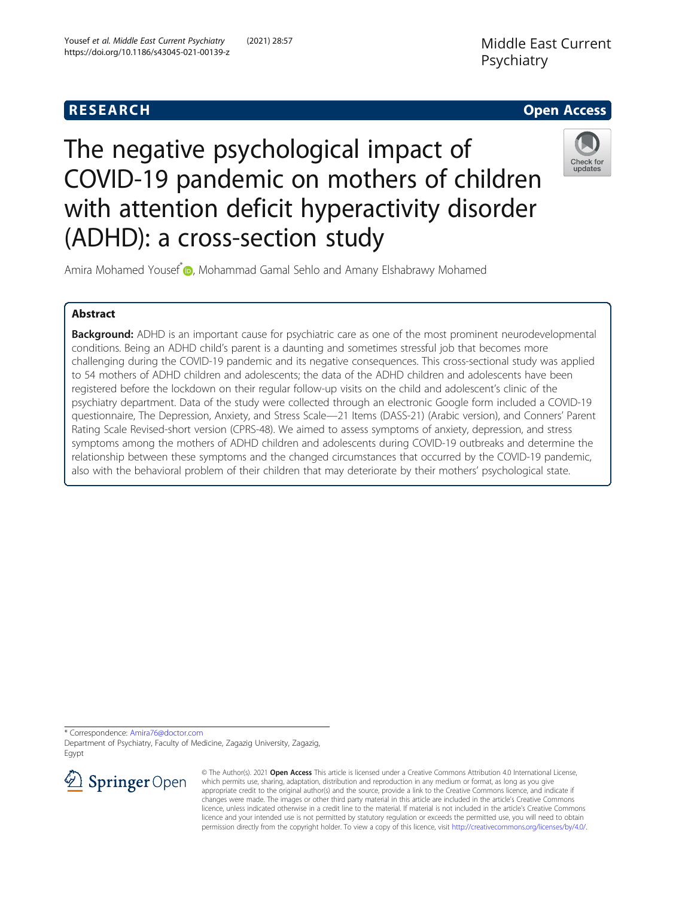

# The negative psychological impact of COVID-19 pandemic on mothers of children with attention deficit hyperactivity disorder (ADHD): a cross-section study



Amira Mohamed Yousef<sup>[\\*](http://orcid.org/0000-0003-2071-2075)</sup> , Mohammad Gamal Sehlo and Amany Elshabrawy Mohamed

# Abstract

**Background:** ADHD is an important cause for psychiatric care as one of the most prominent neurodevelopmental conditions. Being an ADHD child's parent is a daunting and sometimes stressful job that becomes more challenging during the COVID-19 pandemic and its negative consequences. This cross-sectional study was applied to 54 mothers of ADHD children and adolescents; the data of the ADHD children and adolescents have been registered before the lockdown on their regular follow-up visits on the child and adolescent's clinic of the psychiatry department. Data of the study were collected through an electronic Google form included a COVID-19 questionnaire, The Depression, Anxiety, and Stress Scale—21 Items (DASS-21) (Arabic version), and Conners' Parent Rating Scale Revised-short version (CPRS-48). We aimed to assess symptoms of anxiety, depression, and stress symptoms among the mothers of ADHD children and adolescents during COVID-19 outbreaks and determine the relationship between these symptoms and the changed circumstances that occurred by the COVID-19 pandemic, also with the behavioral problem of their children that may deteriorate by their mothers' psychological state.

\* Correspondence: [Amira76@doctor.com](mailto:Amira76@doctor.com)

Department of Psychiatry, Faculty of Medicine, Zagazig University, Zagazig, Egypt



© The Author(s). 2021 Open Access This article is licensed under a Creative Commons Attribution 4.0 International License, which permits use, sharing, adaptation, distribution and reproduction in any medium or format, as long as you give appropriate credit to the original author(s) and the source, provide a link to the Creative Commons licence, and indicate if changes were made. The images or other third party material in this article are included in the article's Creative Commons licence, unless indicated otherwise in a credit line to the material. If material is not included in the article's Creative Commons licence and your intended use is not permitted by statutory regulation or exceeds the permitted use, you will need to obtain permission directly from the copyright holder. To view a copy of this licence, visit <http://creativecommons.org/licenses/by/4.0/>.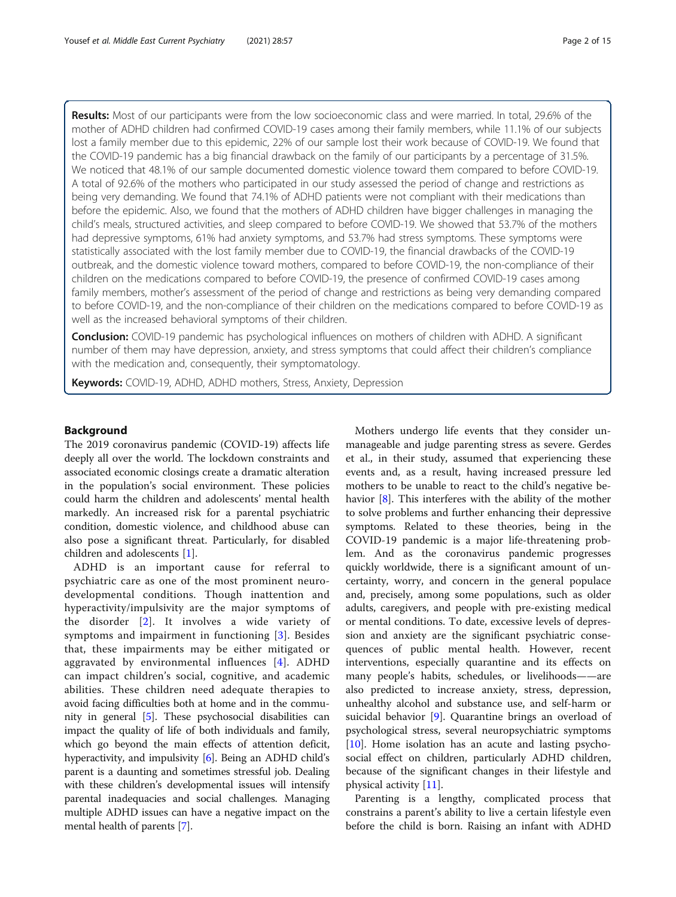Results: Most of our participants were from the low socioeconomic class and were married. In total, 29.6% of the mother of ADHD children had confirmed COVID-19 cases among their family members, while 11.1% of our subjects lost a family member due to this epidemic, 22% of our sample lost their work because of COVID-19. We found that the COVID-19 pandemic has a big financial drawback on the family of our participants by a percentage of 31.5%. We noticed that 48.1% of our sample documented domestic violence toward them compared to before COVID-19. A total of 92.6% of the mothers who participated in our study assessed the period of change and restrictions as being very demanding. We found that 74.1% of ADHD patients were not compliant with their medications than before the epidemic. Also, we found that the mothers of ADHD children have bigger challenges in managing the child's meals, structured activities, and sleep compared to before COVID-19. We showed that 53.7% of the mothers had depressive symptoms, 61% had anxiety symptoms, and 53.7% had stress symptoms. These symptoms were statistically associated with the lost family member due to COVID-19, the financial drawbacks of the COVID-19 outbreak, and the domestic violence toward mothers, compared to before COVID-19, the non-compliance of their children on the medications compared to before COVID-19, the presence of confirmed COVID-19 cases among family members, mother's assessment of the period of change and restrictions as being very demanding compared to before COVID-19, and the non-compliance of their children on the medications compared to before COVID-19 as well as the increased behavioral symptoms of their children.

**Conclusion:** COVID-19 pandemic has psychological influences on mothers of children with ADHD. A significant number of them may have depression, anxiety, and stress symptoms that could affect their children's compliance with the medication and, consequently, their symptomatology.

Keywords: COVID-19, ADHD, ADHD mothers, Stress, Anxiety, Depression

# Background

The 2019 coronavirus pandemic (COVID-19) affects life deeply all over the world. The lockdown constraints and associated economic closings create a dramatic alteration in the population's social environment. These policies could harm the children and adolescents' mental health markedly. An increased risk for a parental psychiatric condition, domestic violence, and childhood abuse can also pose a significant threat. Particularly, for disabled children and adolescents [[1\]](#page-13-0).

ADHD is an important cause for referral to psychiatric care as one of the most prominent neurodevelopmental conditions. Though inattention and hyperactivity/impulsivity are the major symptoms of the disorder [[2](#page-13-0)]. It involves a wide variety of symptoms and impairment in functioning [[3\]](#page-13-0). Besides that, these impairments may be either mitigated or aggravated by environmental influences [\[4](#page-13-0)]. ADHD can impact children's social, cognitive, and academic abilities. These children need adequate therapies to avoid facing difficulties both at home and in the community in general [[5](#page-13-0)]. These psychosocial disabilities can impact the quality of life of both individuals and family, which go beyond the main effects of attention deficit, hyperactivity, and impulsivity [\[6](#page-13-0)]. Being an ADHD child's parent is a daunting and sometimes stressful job. Dealing with these children's developmental issues will intensify parental inadequacies and social challenges. Managing multiple ADHD issues can have a negative impact on the mental health of parents [[7\]](#page-13-0).

Mothers undergo life events that they consider unmanageable and judge parenting stress as severe. Gerdes et al., in their study, assumed that experiencing these events and, as a result, having increased pressure led mothers to be unable to react to the child's negative behavior  $[8]$ . This interferes with the ability of the mother to solve problems and further enhancing their depressive symptoms. Related to these theories, being in the COVID-19 pandemic is a major life-threatening problem. And as the coronavirus pandemic progresses quickly worldwide, there is a significant amount of uncertainty, worry, and concern in the general populace and, precisely, among some populations, such as older adults, caregivers, and people with pre-existing medical or mental conditions. To date, excessive levels of depression and anxiety are the significant psychiatric consequences of public mental health. However, recent interventions, especially quarantine and its effects on many people's habits, schedules, or livelihoods——are also predicted to increase anxiety, stress, depression, unhealthy alcohol and substance use, and self-harm or suicidal behavior [\[9](#page-13-0)]. Quarantine brings an overload of psychological stress, several neuropsychiatric symptoms [[10\]](#page-13-0). Home isolation has an acute and lasting psychosocial effect on children, particularly ADHD children, because of the significant changes in their lifestyle and physical activity [[11](#page-13-0)].

Parenting is a lengthy, complicated process that constrains a parent's ability to live a certain lifestyle even before the child is born. Raising an infant with ADHD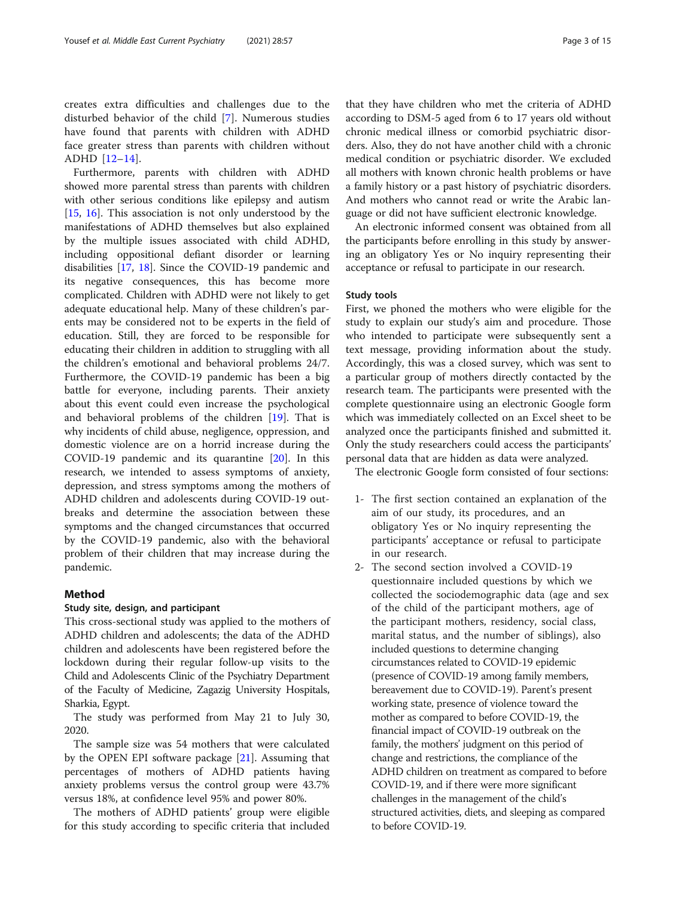creates extra difficulties and challenges due to the disturbed behavior of the child [[7\]](#page-13-0). Numerous studies have found that parents with children with ADHD face greater stress than parents with children without ADHD [[12](#page-13-0)–[14](#page-14-0)].

Furthermore, parents with children with ADHD showed more parental stress than parents with children with other serious conditions like epilepsy and autism [[15,](#page-14-0) [16](#page-14-0)]. This association is not only understood by the manifestations of ADHD themselves but also explained by the multiple issues associated with child ADHD, including oppositional defiant disorder or learning disabilities [\[17](#page-14-0), [18\]](#page-14-0). Since the COVID-19 pandemic and its negative consequences, this has become more complicated. Children with ADHD were not likely to get adequate educational help. Many of these children's parents may be considered not to be experts in the field of education. Still, they are forced to be responsible for educating their children in addition to struggling with all the children's emotional and behavioral problems 24/7. Furthermore, the COVID-19 pandemic has been a big battle for everyone, including parents. Their anxiety about this event could even increase the psychological and behavioral problems of the children [[19](#page-14-0)]. That is why incidents of child abuse, negligence, oppression, and domestic violence are on a horrid increase during the COVID-19 pandemic and its quarantine [[20\]](#page-14-0). In this research, we intended to assess symptoms of anxiety, depression, and stress symptoms among the mothers of ADHD children and adolescents during COVID-19 outbreaks and determine the association between these symptoms and the changed circumstances that occurred by the COVID-19 pandemic, also with the behavioral problem of their children that may increase during the pandemic.

# Method

# Study site, design, and participant

This cross-sectional study was applied to the mothers of ADHD children and adolescents; the data of the ADHD children and adolescents have been registered before the lockdown during their regular follow-up visits to the Child and Adolescents Clinic of the Psychiatry Department of the Faculty of Medicine, Zagazig University Hospitals, Sharkia, Egypt.

The study was performed from May 21 to July 30, 2020.

The sample size was 54 mothers that were calculated by the OPEN EPI software package [\[21](#page-14-0)]. Assuming that percentages of mothers of ADHD patients having anxiety problems versus the control group were 43.7% versus 18%, at confidence level 95% and power 80%.

The mothers of ADHD patients' group were eligible for this study according to specific criteria that included that they have children who met the criteria of ADHD according to DSM-5 aged from 6 to 17 years old without chronic medical illness or comorbid psychiatric disorders. Also, they do not have another child with a chronic medical condition or psychiatric disorder. We excluded all mothers with known chronic health problems or have a family history or a past history of psychiatric disorders. And mothers who cannot read or write the Arabic language or did not have sufficient electronic knowledge.

An electronic informed consent was obtained from all the participants before enrolling in this study by answering an obligatory Yes or No inquiry representing their acceptance or refusal to participate in our research.

# Study tools

First, we phoned the mothers who were eligible for the study to explain our study's aim and procedure. Those who intended to participate were subsequently sent a text message, providing information about the study. Accordingly, this was a closed survey, which was sent to a particular group of mothers directly contacted by the research team. The participants were presented with the complete questionnaire using an electronic Google form which was immediately collected on an Excel sheet to be analyzed once the participants finished and submitted it. Only the study researchers could access the participants' personal data that are hidden as data were analyzed.

The electronic Google form consisted of four sections:

- 1- The first section contained an explanation of the aim of our study, its procedures, and an obligatory Yes or No inquiry representing the participants' acceptance or refusal to participate in our research.
- 2- The second section involved a COVID-19 questionnaire included questions by which we collected the sociodemographic data (age and sex of the child of the participant mothers, age of the participant mothers, residency, social class, marital status, and the number of siblings), also included questions to determine changing circumstances related to COVID-19 epidemic (presence of COVID-19 among family members, bereavement due to COVID-19). Parent's present working state, presence of violence toward the mother as compared to before COVID-19, the financial impact of COVID-19 outbreak on the family, the mothers' judgment on this period of change and restrictions, the compliance of the ADHD children on treatment as compared to before COVID-19, and if there were more significant challenges in the management of the child's structured activities, diets, and sleeping as compared to before COVID-19.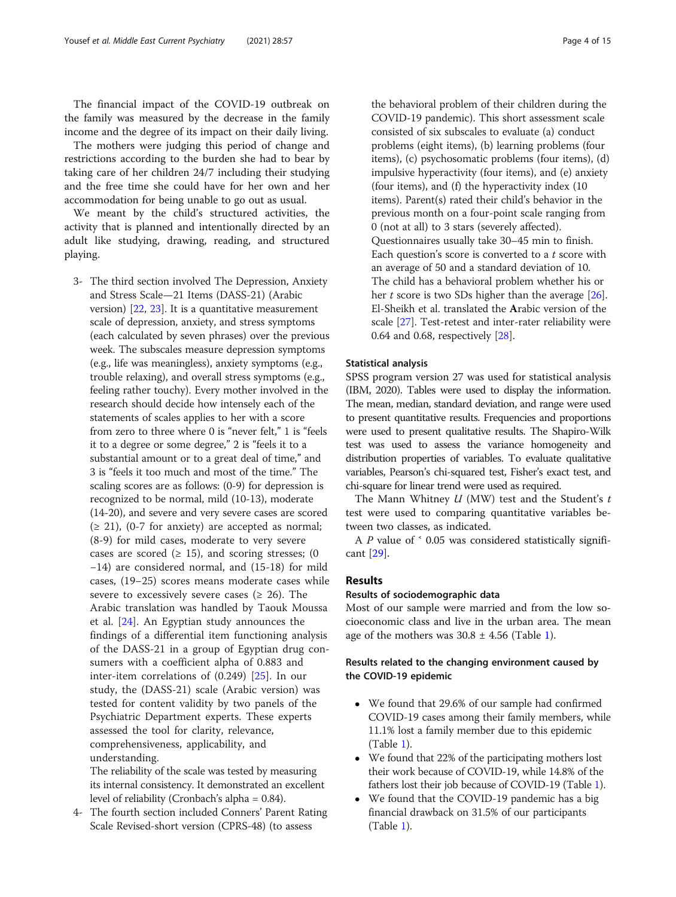The financial impact of the COVID-19 outbreak on the family was measured by the decrease in the family income and the degree of its impact on their daily living.

The mothers were judging this period of change and restrictions according to the burden she had to bear by taking care of her children 24/7 including their studying and the free time she could have for her own and her accommodation for being unable to go out as usual.

We meant by the child's structured activities, the activity that is planned and intentionally directed by an adult like studying, drawing, reading, and structured playing.

3- The third section involved The Depression, Anxiety and Stress Scale—21 Items (DASS-21) (Arabic version) [[22](#page-14-0), [23\]](#page-14-0). It is a quantitative measurement scale of depression, anxiety, and stress symptoms (each calculated by seven phrases) over the previous week. The subscales measure depression symptoms (e.g., life was meaningless), anxiety symptoms (e.g., trouble relaxing), and overall stress symptoms (e.g., feeling rather touchy). Every mother involved in the research should decide how intensely each of the statements of scales applies to her with a score from zero to three where 0 is "never felt," 1 is "feels it to a degree or some degree," 2 is "feels it to a substantial amount or to a great deal of time," and 3 is "feels it too much and most of the time." The scaling scores are as follows: (0-9) for depression is recognized to be normal, mild (10-13), moderate (14-20), and severe and very severe cases are scored  $(≥ 21)$ ,  $(0-7$  for anxiety) are accepted as normal; (8-9) for mild cases, moderate to very severe cases are scored ( $\geq$  15), and scoring stresses; (0 −14) are considered normal, and (15-18) for mild cases, (19−25) scores means moderate cases while severe to excessively severe cases ( $\geq$  26). The Arabic translation was handled by Taouk Moussa et al. [\[24](#page-14-0)]. An Egyptian study announces the findings of a differential item functioning analysis of the DASS-21 in a group of Egyptian drug consumers with a coefficient alpha of 0.883 and inter-item correlations of (0.249) [\[25](#page-14-0)]. In our study, the (DASS-21) scale (Arabic version) was tested for content validity by two panels of the Psychiatric Department experts. These experts assessed the tool for clarity, relevance, comprehensiveness, applicability, and understanding.

The reliability of the scale was tested by measuring its internal consistency. It demonstrated an excellent level of reliability (Cronbach's alpha = 0.84).

4- The fourth section included Conners' Parent Rating Scale Revised-short version (CPRS-48) (to assess

the behavioral problem of their children during the COVID-19 pandemic). This short assessment scale consisted of six subscales to evaluate (a) conduct problems (eight items), (b) learning problems (four items), (c) psychosomatic problems (four items), (d) impulsive hyperactivity (four items), and (e) anxiety (four items), and (f) the hyperactivity index (10 items). Parent(s) rated their child's behavior in the previous month on a four-point scale ranging from 0 (not at all) to 3 stars (severely affected). Questionnaires usually take 30–45 min to finish. Each question's score is converted to a  $t$  score with an average of 50 and a standard deviation of 10. The child has a behavioral problem whether his or her  $t$  score is two SDs higher than the average  $[26]$  $[26]$  $[26]$ . El-Sheikh et al. translated the Arabic version of the scale [[27](#page-14-0)]. Test-retest and inter-rater reliability were 0.64 and 0.68, respectively [[28\]](#page-14-0).

#### Statistical analysis

SPSS program version 27 was used for statistical analysis (IBM, 2020). Tables were used to display the information. The mean, median, standard deviation, and range were used to present quantitative results. Frequencies and proportions were used to present qualitative results. The Shapiro-Wilk test was used to assess the variance homogeneity and distribution properties of variables. To evaluate qualitative variables, Pearson's chi-squared test, Fisher's exact test, and chi-square for linear trend were used as required.

The Mann Whitney  $U$  (MW) test and the Student's  $t$ test were used to comparing quantitative variables between two classes, as indicated.

A  $P$  value of  $\leq$  0.05 was considered statistically significant [\[29](#page-14-0)].

# Results

#### Results of sociodemographic data

Most of our sample were married and from the low socioeconomic class and live in the urban area. The mean age of the mothers was  $30.8 \pm 4.56$  (Table [1\)](#page-4-0).

# Results related to the changing environment caused by the COVID-19 epidemic

- We found that 29.6% of our sample had confirmed COVID-19 cases among their family members, while 11.1% lost a family member due to this epidemic (Table [1](#page-4-0)).
- We found that 22% of the participating mothers lost their work because of COVID-19, while 14.8% of the fathers lost their job because of COVID-19 (Table [1\)](#page-4-0).
- We found that the COVID-19 pandemic has a big financial drawback on 31.5% of our participants (Table [1](#page-4-0)).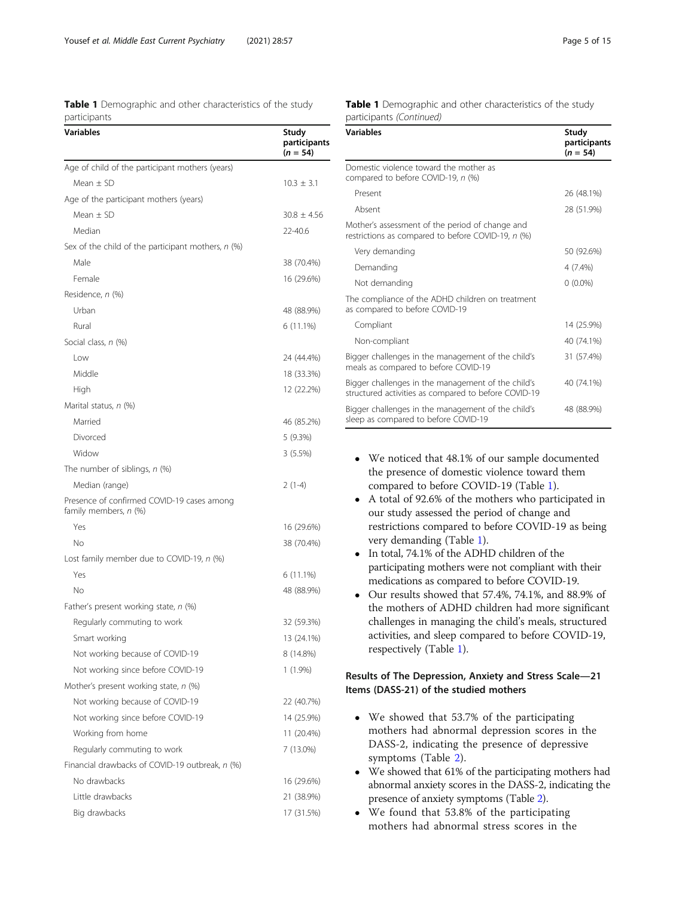<span id="page-4-0"></span>

|              | <b>Table 1</b> Demographic and other characteristics of the study |  |  |
|--------------|-------------------------------------------------------------------|--|--|
| participants |                                                                   |  |  |

| <b>Variables</b>                                                    | Study<br>participants<br>$(n = 54)$ |
|---------------------------------------------------------------------|-------------------------------------|
| Age of child of the participant mothers (years)                     |                                     |
| Mean $\pm$ SD                                                       | $10.3 \pm 3.1$                      |
| Age of the participant mothers (years)                              |                                     |
| Mean $\pm$ SD                                                       | $30.8 \pm 4.56$                     |
| Median                                                              | 22-40.6                             |
| Sex of the child of the participant mothers, n (%)                  |                                     |
| Male                                                                | 38 (70.4%)                          |
| Female                                                              | 16 (29.6%)                          |
| Residence, n (%)                                                    |                                     |
| Urban                                                               | 48 (88.9%)                          |
| Rural                                                               | 6 (11.1%)                           |
| Social class, n (%)                                                 |                                     |
| Low                                                                 | 24 (44.4%)                          |
| Middle                                                              | 18 (33.3%)                          |
| High                                                                | 12 (22.2%)                          |
| Marital status, n (%)                                               |                                     |
| Married                                                             | 46 (85.2%)                          |
| Divorced                                                            | 5(9.3%)                             |
| Widow                                                               | 3(5.5%)                             |
| The number of siblings, n (%)                                       |                                     |
| Median (range)                                                      | $2(1-4)$                            |
| Presence of confirmed COVID-19 cases among<br>family members, n (%) |                                     |
| Yes                                                                 | 16 (29.6%)                          |
| No                                                                  | 38 (70.4%)                          |
| Lost family member due to COVID-19, n (%)                           |                                     |
| Yes                                                                 | 6 (11.1%)                           |
| Νo                                                                  | 48 (88.9%)                          |
| Father's present working state, n (%)                               |                                     |
| Regularly commuting to work                                         | 32 (59.3%)                          |
| Smart working                                                       | 13 (24.1%)                          |
| Not working because of COVID-19                                     | 8 (14.8%)                           |
| Not working since before COVID-19                                   | 1 (1.9%)                            |
| Mother's present working state, $n$ (%)                             |                                     |
| Not working because of COVID-19                                     | 22 (40.7%)                          |
| Not working since before COVID-19                                   | 14 (25.9%)                          |
| Working from home                                                   | 11 (20.4%)                          |
| Regularly commuting to work                                         | 7 (13.0%)                           |
| Financial drawbacks of COVID-19 outbreak, n (%)                     |                                     |
| No drawbacks                                                        | 16 (29.6%)                          |
| Little drawbacks                                                    | 21 (38.9%)                          |
| Big drawbacks                                                       | 17 (31.5%)                          |

| <b>Table 1</b> Demographic and other characteristics of the study |  |  |
|-------------------------------------------------------------------|--|--|
| participants (Continued)                                          |  |  |

| <b>Variables</b>                                                                                           | Study<br>participants<br>$(n = 54)$ |
|------------------------------------------------------------------------------------------------------------|-------------------------------------|
| Domestic violence toward the mother as<br>compared to before COVID-19, n (%)                               |                                     |
| Present                                                                                                    | 26 (48.1%)                          |
| Absent                                                                                                     | 28 (51.9%)                          |
| Mother's assessment of the period of change and<br>restrictions as compared to before COVID-19, n (%)      |                                     |
| Very demanding                                                                                             | 50 (92.6%)                          |
| Demanding                                                                                                  | 4 (7.4%)                            |
| Not demanding                                                                                              | $0(0.0\%)$                          |
| The compliance of the ADHD children on treatment<br>as compared to before COVID-19                         |                                     |
| Compliant                                                                                                  | 14 (25.9%)                          |
| Non-compliant                                                                                              | 40 (74.1%)                          |
| Bigger challenges in the management of the child's<br>meals as compared to before COVID-19                 | 31 (57.4%)                          |
| Bigger challenges in the management of the child's<br>structured activities as compared to before COVID-19 | 40 (74.1%)                          |
| Bigger challenges in the management of the child's<br>sleep as compared to before COVID-19                 | 48 (88.9%)                          |

- We noticed that 48.1% of our sample documented the presence of domestic violence toward them compared to before COVID-19 (Table 1).
- A total of 92.6% of the mothers who participated in our study assessed the period of change and restrictions compared to before COVID-19 as being very demanding (Table 1).
- In total, 74.1% of the ADHD children of the participating mothers were not compliant with their medications as compared to before COVID-19.
- Our results showed that 57.4%, 74.1%, and 88.9% of the mothers of ADHD children had more significant challenges in managing the child's meals, structured activities, and sleep compared to before COVID-19, respectively (Table 1).

# Results of The Depression, Anxiety and Stress Scale—21 Items (DASS-21) of the studied mothers

- We showed that 53.7% of the participating mothers had abnormal depression scores in the DASS-2, indicating the presence of depressive symptoms (Table [2\)](#page-5-0).
- We showed that 61% of the participating mothers had abnormal anxiety scores in the DASS-2, indicating the presence of anxiety symptoms (Table [2](#page-5-0)).
- We found that 53.8% of the participating mothers had abnormal stress scores in the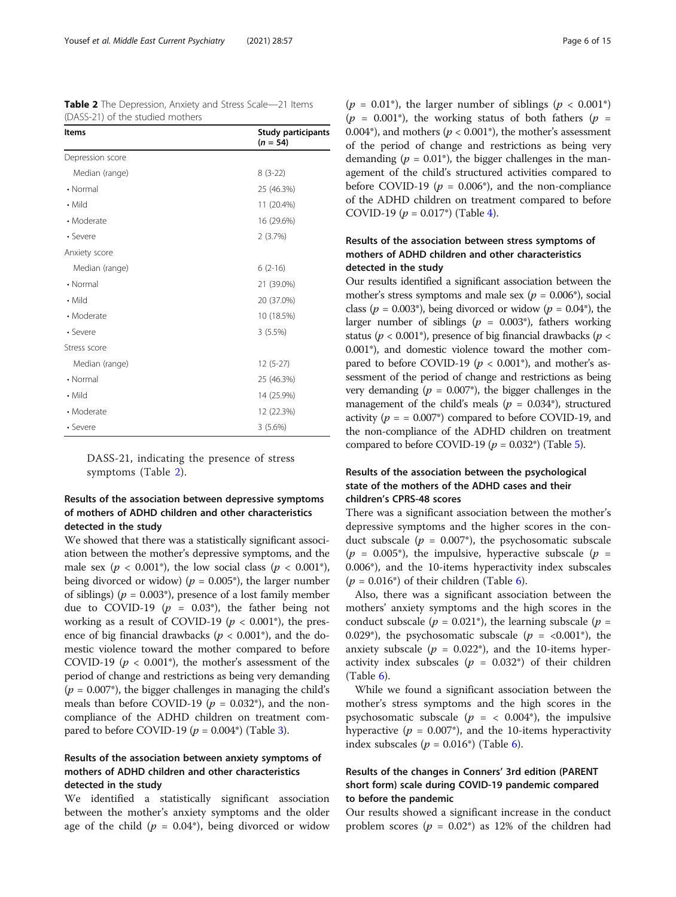<span id="page-5-0"></span>Table 2 The Depression, Anxiety and Stress Scale-21 Items

| (DASS-21) of the studied mothers |                                         |
|----------------------------------|-----------------------------------------|
| <b>Items</b>                     | <b>Study participants</b><br>$(n = 54)$ |
| Depression score                 |                                         |
| Median (range)                   | $8(3-22)$                               |
| • Normal                         | 25 (46.3%)                              |
| • Mild                           | 11 (20.4%)                              |
| • Moderate                       | 16 (29.6%)                              |
| • Severe                         | 2(3.7%)                                 |
| Anxiety score                    |                                         |
| Median (range)                   | $6(2-16)$                               |
| • Normal                         | 21 (39.0%)                              |
| • Mild                           | 20 (37.0%)                              |
| • Moderate                       | 10 (18.5%)                              |
| • Severe                         | 3(5.5%)                                 |
| Stress score                     |                                         |
| Median (range)                   | $12(5-27)$                              |
| • Normal                         | 25 (46.3%)                              |
| • Mild                           | 14 (25.9%)                              |
| • Moderate                       | 12 (22.3%)                              |
| • Severe                         | 3(5.6%)                                 |

DASS-21, indicating the presence of stress symptoms (Table 2).

# Results of the association between depressive symptoms of mothers of ADHD children and other characteristics detected in the study

We showed that there was a statistically significant association between the mother's depressive symptoms, and the male sex ( $p < 0.001^{\circ}$ ), the low social class ( $p < 0.001^{\circ}$ ), being divorced or widow) ( $p = 0.005^*$ ), the larger number of siblings) ( $p = 0.003^*$ ), presence of a lost family member due to COVID-19 ( $p = 0.03^{\circ}$ ), the father being not working as a result of COVID-19 ( $p < 0.001^*$ ), the presence of big financial drawbacks ( $p < 0.001^*$ ), and the domestic violence toward the mother compared to before COVID-19 ( $p < 0.001$ <sup>\*</sup>), the mother's assessment of the period of change and restrictions as being very demanding  $(p = 0.007^*)$ , the bigger challenges in managing the child's meals than before COVID-19 ( $p = 0.032^*$ ), and the noncompliance of the ADHD children on treatment compared to before COVID-19 ( $p = 0.004^{\circ}$ ) (Table [3\)](#page-6-0).

# Results of the association between anxiety symptoms of mothers of ADHD children and other characteristics detected in the study

We identified a statistically significant association between the mother's anxiety symptoms and the older age of the child ( $p = 0.04^*$ ), being divorced or widow

( $p = 0.01^*$ ), the larger number of siblings ( $p < 0.001^*$ )  $(p = 0.001^*)$ , the working status of both fathers  $(p = 1.001^*)$ 0.004\*), and mothers ( $p < 0.001$ \*), the mother's assessment of the period of change and restrictions as being very demanding ( $p = 0.01^*$ ), the bigger challenges in the management of the child's structured activities compared to before COVID-19 ( $p = 0.006^{\circ}$ ), and the non-compliance of the ADHD children on treatment compared to before COVID-19 ( $p = 0.017^*$ ) (Table [4](#page-8-0)).

# Results of the association between stress symptoms of mothers of ADHD children and other characteristics detected in the study

Our results identified a significant association between the mother's stress symptoms and male sex ( $p = 0.006^*$ ), social class ( $p = 0.003^*$ ), being divorced or widow ( $p = 0.04^*$ ), the larger number of siblings ( $p = 0.003^*$ ), fathers working status ( $p < 0.001^*$ ), presence of big financial drawbacks ( $p <$ 0.001\*), and domestic violence toward the mother compared to before COVID-19 ( $p < 0.001^*$ ), and mother's assessment of the period of change and restrictions as being very demanding ( $p = 0.007^*$ ), the bigger challenges in the management of the child's meals ( $p = 0.034^*$ ), structured activity ( $p = 0.007^*$ ) compared to before COVID-19, and the non-compliance of the ADHD children on treatment compared to before COVID-19 ( $p = 0.032^*$ ) (Table [5](#page-10-0)).

# Results of the association between the psychological state of the mothers of the ADHD cases and their children's CPRS-48 scores

There was a significant association between the mother's depressive symptoms and the higher scores in the conduct subscale ( $p = 0.007^*$ ), the psychosomatic subscale  $(p = 0.005^*)$ , the impulsive, hyperactive subscale  $(p = 1.005^*)$ 0.006\*), and the 10-items hyperactivity index subscales  $(p = 0.016^*)$  of their children (Table [6\)](#page-11-0).

Also, there was a significant association between the mothers' anxiety symptoms and the high scores in the conduct subscale ( $p = 0.021^*$ ), the learning subscale ( $p =$ 0.029\*), the psychosomatic subscale ( $p = <0.001$ \*), the anxiety subscale ( $p = 0.022$ <sup>\*</sup>), and the 10-items hyperactivity index subscales ( $p = 0.032^*$ ) of their children  $(Table 6)$  $(Table 6)$ .

While we found a significant association between the mother's stress symptoms and the high scores in the psychosomatic subscale ( $p = \langle 0.004^{\dagger} \rangle$ , the impulsive hyperactive ( $p = 0.007^*$ ), and the 10-items hyperactivity index subscales ( $p = 0.016^{\circ}$ ) (Table [6\)](#page-11-0).

# Results of the changes in Conners' 3rd edition (PARENT short form) scale during COVID-19 pandemic compared to before the pandemic

Our results showed a significant increase in the conduct problem scores ( $p = 0.02^*$ ) as 12% of the children had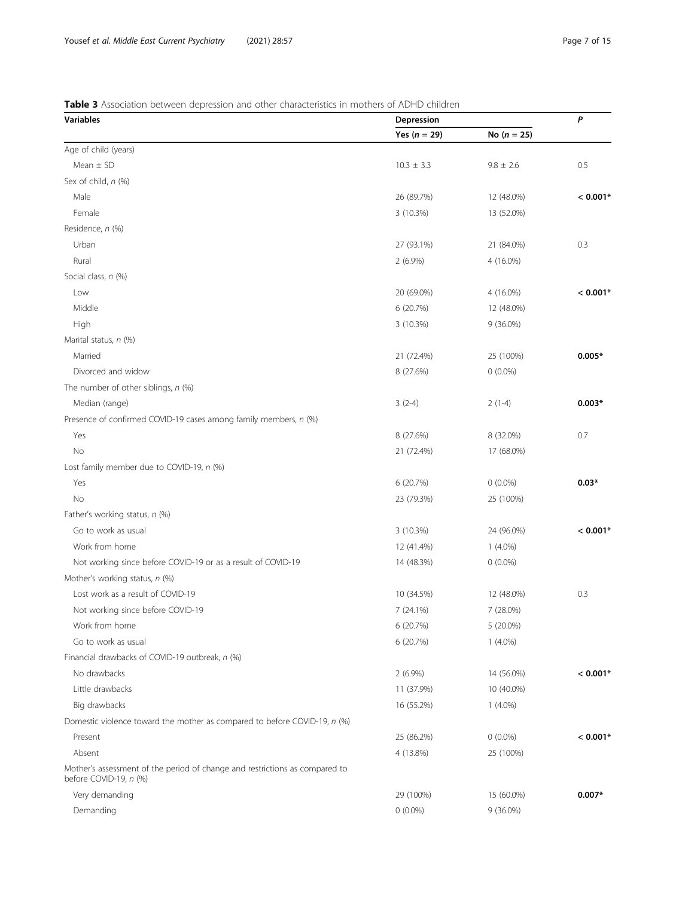# <span id="page-6-0"></span>Table 3 Association between depression and other characteristics in mothers of ADHD children

| <b>Variables</b>                                                                                      | Depression     | P             |            |
|-------------------------------------------------------------------------------------------------------|----------------|---------------|------------|
|                                                                                                       | Yes $(n = 29)$ | No $(n = 25)$ |            |
| Age of child (years)                                                                                  |                |               |            |
| Mean $\pm$ SD                                                                                         | $10.3 \pm 3.3$ | $9.8 \pm 2.6$ | 0.5        |
| Sex of child, n (%)                                                                                   |                |               |            |
| Male                                                                                                  | 26 (89.7%)     | 12 (48.0%)    | $< 0.001*$ |
| Female                                                                                                | 3 (10.3%)      | 13 (52.0%)    |            |
| Residence, n (%)                                                                                      |                |               |            |
| Urban                                                                                                 | 27 (93.1%)     | 21 (84.0%)    | 0.3        |
| Rural                                                                                                 | $2(6.9\%)$     | 4 (16.0%)     |            |
| Social class, n (%)                                                                                   |                |               |            |
| Low                                                                                                   | 20 (69.0%)     | 4 (16.0%)     | $< 0.001*$ |
| Middle                                                                                                | 6 (20.7%)      | 12 (48.0%)    |            |
| High                                                                                                  | 3 (10.3%)      | $9(36.0\%)$   |            |
| Marital status, n (%)                                                                                 |                |               |            |
| Married                                                                                               | 21 (72.4%)     | 25 (100%)     | $0.005*$   |
| Divorced and widow                                                                                    | 8 (27.6%)      | $0(0.0\%)$    |            |
| The number of other siblings, $n$ (%)                                                                 |                |               |            |
| Median (range)                                                                                        | $3(2-4)$       | $2(1-4)$      | $0.003*$   |
| Presence of confirmed COVID-19 cases among family members, n (%)                                      |                |               |            |
| Yes                                                                                                   | 8 (27.6%)      | 8 (32.0%)     | 0.7        |
| No                                                                                                    | 21 (72.4%)     | 17 (68.0%)    |            |
| Lost family member due to COVID-19, n (%)                                                             |                |               |            |
| Yes                                                                                                   | 6 (20.7%)      | $0(0.0\%)$    | $0.03*$    |
| No                                                                                                    | 23 (79.3%)     | 25 (100%)     |            |
| Father's working status, n (%)                                                                        |                |               |            |
| Go to work as usual                                                                                   | 3 (10.3%)      | 24 (96.0%)    | $< 0.001*$ |
| Work from home                                                                                        | 12 (41.4%)     | $1(4.0\%)$    |            |
| Not working since before COVID-19 or as a result of COVID-19                                          | 14 (48.3%)     | $0(0.0\%)$    |            |
| Mother's working status, n (%)                                                                        |                |               |            |
| Lost work as a result of COVID-19                                                                     | 10 (34.5%)     | 12 (48.0%)    | 0.3        |
| Not working since before COVID-19                                                                     | 7 (24.1%)      | 7 (28.0%)     |            |
| Work from home                                                                                        | 6 (20.7%)      | 5 (20.0%)     |            |
| Go to work as usual                                                                                   | 6 (20.7%)      | $1(4.0\%)$    |            |
| Financial drawbacks of COVID-19 outbreak, n (%)                                                       |                |               |            |
| No drawbacks                                                                                          | $2(6.9\%)$     | 14 (56.0%)    | $< 0.001*$ |
| Little drawbacks                                                                                      | 11 (37.9%)     | 10 (40.0%)    |            |
| Big drawbacks                                                                                         | 16 (55.2%)     | $1(4.0\%)$    |            |
| Domestic violence toward the mother as compared to before COVID-19, n (%)                             |                |               |            |
| Present                                                                                               | 25 (86.2%)     | $0(0.0\%)$    | $< 0.001*$ |
| Absent                                                                                                | 4 (13.8%)      | 25 (100%)     |            |
| Mother's assessment of the period of change and restrictions as compared to<br>before COVID-19, n (%) |                |               |            |
| Very demanding                                                                                        | 29 (100%)      | 15 (60.0%)    | $0.007*$   |
| Demanding                                                                                             | $0(0.0\%)$     | $9(36.0\%)$   |            |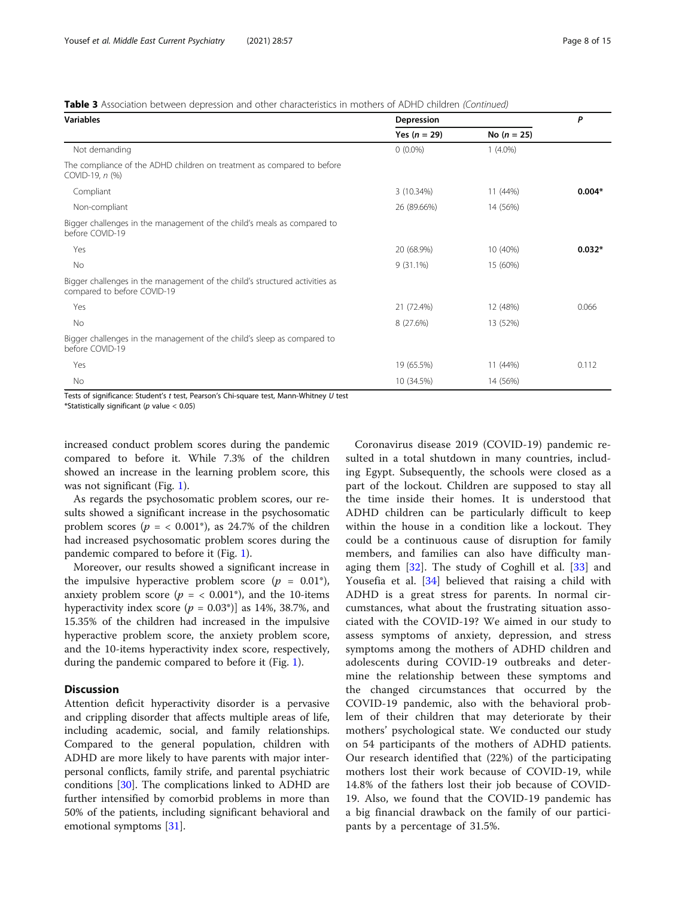Table 3 Association between depression and other characteristics in mothers of ADHD children (Continued)

| <b>Variables</b>                                                                                           | Depression     | P             |          |
|------------------------------------------------------------------------------------------------------------|----------------|---------------|----------|
|                                                                                                            | Yes $(n = 29)$ | No $(n = 25)$ |          |
| Not demanding                                                                                              | $0(0.0\%)$     | $1(4.0\%)$    |          |
| The compliance of the ADHD children on treatment as compared to before<br>COVID-19, n (%)                  |                |               |          |
| Compliant                                                                                                  | 3 (10.34%)     | 11 (44%)      | $0.004*$ |
| Non-compliant                                                                                              | 26 (89.66%)    | 14 (56%)      |          |
| Bigger challenges in the management of the child's meals as compared to<br>before COVID-19                 |                |               |          |
| Yes                                                                                                        | 20 (68.9%)     | 10 (40%)      | $0.032*$ |
| No                                                                                                         | $9(31.1\%)$    | 15 (60%)      |          |
| Bigger challenges in the management of the child's structured activities as<br>compared to before COVID-19 |                |               |          |
| Yes                                                                                                        | 21 (72.4%)     | 12 (48%)      | 0.066    |
| No                                                                                                         | 8 (27.6%)      | 13 (52%)      |          |
| Bigger challenges in the management of the child's sleep as compared to<br>before COVID-19                 |                |               |          |
| Yes                                                                                                        | 19 (65.5%)     | 11 (44%)      | 0.112    |
| No                                                                                                         | 10 (34.5%)     | 14 (56%)      |          |

Tests of significance: Student's t test, Pearson's Chi-square test, Mann-Whitney U test

\*Statistically significant ( $p$  value < 0.05)

increased conduct problem scores during the pandemic compared to before it. While 7.3% of the children showed an increase in the learning problem score, this was not significant (Fig. [1\)](#page-12-0).

As regards the psychosomatic problem scores, our results showed a significant increase in the psychosomatic problem scores ( $p = < 0.001^*$ ), as 24.7% of the children had increased psychosomatic problem scores during the pandemic compared to before it (Fig. [1\)](#page-12-0).

Moreover, our results showed a significant increase in the impulsive hyperactive problem score ( $p = 0.01^*$ ), anxiety problem score ( $p = < 0.001^*$ ), and the 10-items hyperactivity index score  $(p = 0.03^*)$  as 14%, 38.7%, and 15.35% of the children had increased in the impulsive hyperactive problem score, the anxiety problem score, and the 10-items hyperactivity index score, respectively, during the pandemic compared to before it (Fig. [1\)](#page-12-0).

# **Discussion**

Attention deficit hyperactivity disorder is a pervasive and crippling disorder that affects multiple areas of life, including academic, social, and family relationships. Compared to the general population, children with ADHD are more likely to have parents with major interpersonal conflicts, family strife, and parental psychiatric conditions [\[30\]](#page-14-0). The complications linked to ADHD are further intensified by comorbid problems in more than 50% of the patients, including significant behavioral and emotional symptoms [\[31](#page-14-0)].

Coronavirus disease 2019 (COVID-19) pandemic resulted in a total shutdown in many countries, including Egypt. Subsequently, the schools were closed as a part of the lockout. Children are supposed to stay all the time inside their homes. It is understood that ADHD children can be particularly difficult to keep within the house in a condition like a lockout. They could be a continuous cause of disruption for family members, and families can also have difficulty managing them  $[32]$  $[32]$ . The study of Coghill et al.  $[33]$  $[33]$  and Yousefia et al. [[34](#page-14-0)] believed that raising a child with ADHD is a great stress for parents. In normal circumstances, what about the frustrating situation associated with the COVID-19? We aimed in our study to assess symptoms of anxiety, depression, and stress symptoms among the mothers of ADHD children and adolescents during COVID-19 outbreaks and determine the relationship between these symptoms and the changed circumstances that occurred by the COVID-19 pandemic, also with the behavioral problem of their children that may deteriorate by their mothers' psychological state. We conducted our study on 54 participants of the mothers of ADHD patients. Our research identified that (22%) of the participating mothers lost their work because of COVID-19, while 14.8% of the fathers lost their job because of COVID-19. Also, we found that the COVID-19 pandemic has a big financial drawback on the family of our participants by a percentage of 31.5%.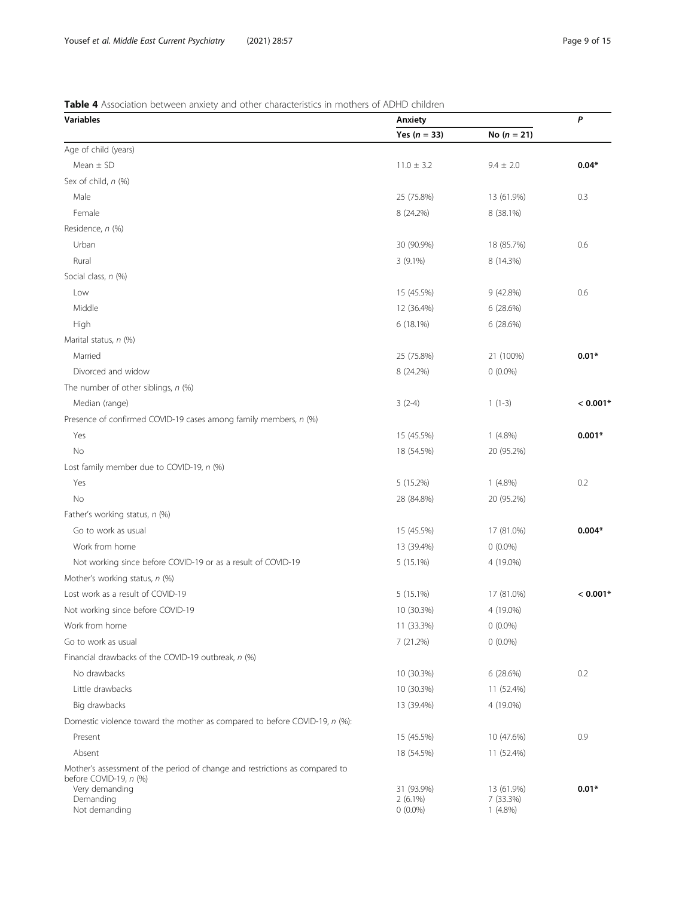# <span id="page-8-0"></span>Table 4 Association between anxiety and other characteristics in mothers of ADHD children

| <b>Variables</b>                                                                                      | Anxiety                  | P                       |            |
|-------------------------------------------------------------------------------------------------------|--------------------------|-------------------------|------------|
|                                                                                                       | Yes $(n = 33)$           | No $(n = 21)$           |            |
| Age of child (years)                                                                                  |                          |                         |            |
| Mean $\pm$ SD                                                                                         | $11.0 \pm 3.2$           | $9.4 \pm 2.0$           | $0.04*$    |
| Sex of child, n (%)                                                                                   |                          |                         |            |
| Male                                                                                                  | 25 (75.8%)               | 13 (61.9%)              | 0.3        |
| Female                                                                                                | 8 (24.2%)                | 8 (38.1%)               |            |
| Residence, n (%)                                                                                      |                          |                         |            |
| Urban                                                                                                 | 30 (90.9%)               | 18 (85.7%)              | 0.6        |
| Rural                                                                                                 | $3(9.1\%)$               | 8 (14.3%)               |            |
| Social class, n (%)                                                                                   |                          |                         |            |
| Low                                                                                                   | 15 (45.5%)               | 9 (42.8%)               | 0.6        |
| Middle                                                                                                | 12 (36.4%)               | 6 (28.6%)               |            |
| High                                                                                                  | 6(18.1%)                 | 6 (28.6%)               |            |
| Marital status, n (%)                                                                                 |                          |                         |            |
| Married                                                                                               | 25 (75.8%)               | 21 (100%)               | $0.01*$    |
| Divorced and widow                                                                                    | 8 (24.2%)                | $0(0.0\%)$              |            |
| The number of other siblings, n (%)                                                                   |                          |                         |            |
| Median (range)                                                                                        | $3(2-4)$                 | $1(1-3)$                | $< 0.001*$ |
| Presence of confirmed COVID-19 cases among family members, n (%)                                      |                          |                         |            |
| Yes                                                                                                   | 15 (45.5%)               | $1(4.8\%)$              | $0.001*$   |
| No                                                                                                    | 18 (54.5%)               | 20 (95.2%)              |            |
| Lost family member due to COVID-19, n (%)                                                             |                          |                         |            |
| Yes                                                                                                   | 5 (15.2%)                | $1(4.8\%)$              | 0.2        |
| No                                                                                                    | 28 (84.8%)               | 20 (95.2%)              |            |
| Father's working status, n (%)                                                                        |                          |                         |            |
| Go to work as usual                                                                                   | 15 (45.5%)               | 17 (81.0%)              | $0.004*$   |
| Work from home                                                                                        | 13 (39.4%)               | $0(0.0\%)$              |            |
| Not working since before COVID-19 or as a result of COVID-19                                          | 5 (15.1%)                | 4 (19.0%)               |            |
| Mother's working status, n (%)                                                                        |                          |                         |            |
| Lost work as a result of COVID-19                                                                     | 5 (15.1%)                | 17 (81.0%)              | $< 0.001*$ |
| Not working since before COVID-19                                                                     | 10 (30.3%)               | 4 (19.0%)               |            |
| Work from home                                                                                        | 11 (33.3%)               | $0(0.0\%)$              |            |
| Go to work as usual                                                                                   | 7(21.2%)                 | $0(0.0\%)$              |            |
| Financial drawbacks of the COVID-19 outbreak, n (%)                                                   |                          |                         |            |
| No drawbacks                                                                                          | 10 (30.3%)               | 6(28.6%)                | 0.2        |
| Little drawbacks                                                                                      | 10 (30.3%)               |                         |            |
|                                                                                                       |                          | 11 (52.4%)              |            |
| Big drawbacks                                                                                         | 13 (39.4%)               | 4 (19.0%)               |            |
| Domestic violence toward the mother as compared to before COVID-19, n (%):                            |                          |                         |            |
| Present                                                                                               | 15 (45.5%)               | 10 (47.6%)              | 0.9        |
| Absent                                                                                                | 18 (54.5%)               | 11 (52.4%)              |            |
| Mother's assessment of the period of change and restrictions as compared to<br>before COVID-19, n (%) |                          |                         |            |
| Very demanding                                                                                        | 31 (93.9%)               | 13 (61.9%)              | $0.01*$    |
| Demanding<br>Not demanding                                                                            | $2(6.1\%)$<br>$0(0.0\%)$ | 7 (33.3%)<br>$1(4.8\%)$ |            |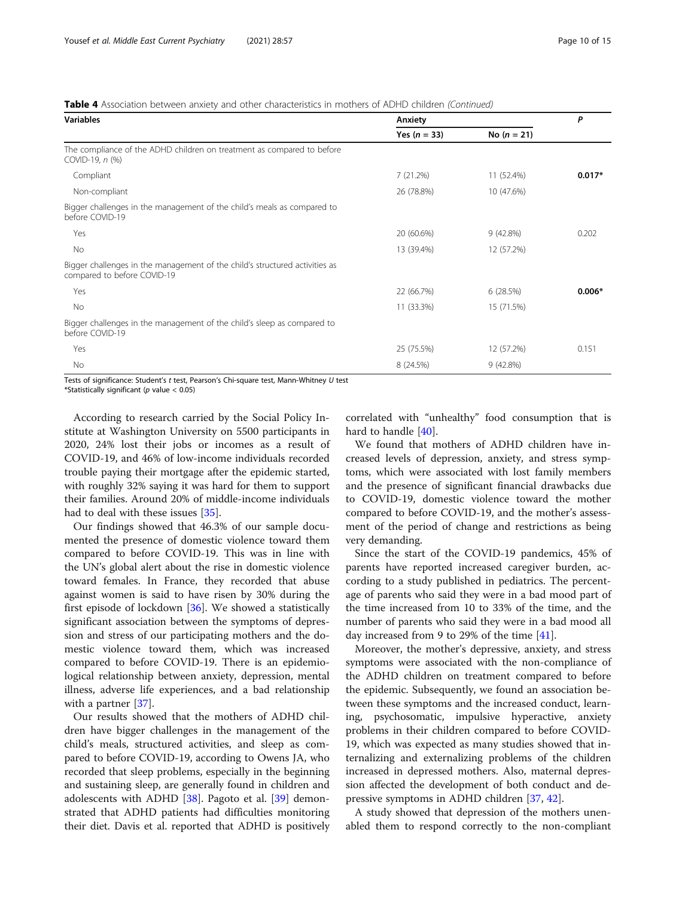# Table 4 Association between anxiety and other characteristics in mothers of ADHD children (Continued)

| <b>Variables</b>                                                                                           | Anxiety        | P             |          |
|------------------------------------------------------------------------------------------------------------|----------------|---------------|----------|
|                                                                                                            | Yes $(n = 33)$ | No $(n = 21)$ |          |
| The compliance of the ADHD children on treatment as compared to before<br>COVID-19, n (%)                  |                |               |          |
| Compliant                                                                                                  | 7(21.2%)       | 11 (52.4%)    | $0.017*$ |
| Non-compliant                                                                                              | 26 (78.8%)     | 10 (47.6%)    |          |
| Bigger challenges in the management of the child's meals as compared to<br>before COVID-19                 |                |               |          |
| Yes                                                                                                        | 20 (60.6%)     | 9(42.8%)      | 0.202    |
| No                                                                                                         | 13 (39.4%)     | 12 (57.2%)    |          |
| Bigger challenges in the management of the child's structured activities as<br>compared to before COVID-19 |                |               |          |
| Yes                                                                                                        | 22 (66.7%)     | 6(28.5%)      | $0.006*$ |
| No                                                                                                         | 11 (33.3%)     | 15 (71.5%)    |          |
| Bigger challenges in the management of the child's sleep as compared to<br>before COVID-19                 |                |               |          |
| Yes                                                                                                        | 25 (75.5%)     | 12 (57.2%)    | 0.151    |
| No                                                                                                         | 8 (24.5%)      | $9(42.8\%)$   |          |

Tests of significance: Student's t test, Pearson's Chi-square test, Mann-Whitney U test

\*Statistically significant ( $p$  value < 0.05)

According to research carried by the Social Policy Institute at Washington University on 5500 participants in 2020, 24% lost their jobs or incomes as a result of COVID-19, and 46% of low-income individuals recorded trouble paying their mortgage after the epidemic started, with roughly 32% saying it was hard for them to support their families. Around 20% of middle-income individuals had to deal with these issues [[35\]](#page-14-0).

Our findings showed that 46.3% of our sample documented the presence of domestic violence toward them compared to before COVID-19. This was in line with the UN's global alert about the rise in domestic violence toward females. In France, they recorded that abuse against women is said to have risen by 30% during the first episode of lockdown [[36](#page-14-0)]. We showed a statistically significant association between the symptoms of depression and stress of our participating mothers and the domestic violence toward them, which was increased compared to before COVID-19. There is an epidemiological relationship between anxiety, depression, mental illness, adverse life experiences, and a bad relationship with a partner [[37\]](#page-14-0).

Our results showed that the mothers of ADHD children have bigger challenges in the management of the child's meals, structured activities, and sleep as compared to before COVID-19, according to Owens JA, who recorded that sleep problems, especially in the beginning and sustaining sleep, are generally found in children and adolescents with ADHD [\[38](#page-14-0)]. Pagoto et al. [[39\]](#page-14-0) demonstrated that ADHD patients had difficulties monitoring their diet. Davis et al. reported that ADHD is positively

correlated with "unhealthy" food consumption that is hard to handle [[40\]](#page-14-0).

We found that mothers of ADHD children have increased levels of depression, anxiety, and stress symptoms, which were associated with lost family members and the presence of significant financial drawbacks due to COVID-19, domestic violence toward the mother compared to before COVID-19, and the mother's assessment of the period of change and restrictions as being very demanding.

Since the start of the COVID-19 pandemics, 45% of parents have reported increased caregiver burden, according to a study published in pediatrics. The percentage of parents who said they were in a bad mood part of the time increased from 10 to 33% of the time, and the number of parents who said they were in a bad mood all day increased from 9 to 29% of the time [\[41](#page-14-0)].

Moreover, the mother's depressive, anxiety, and stress symptoms were associated with the non-compliance of the ADHD children on treatment compared to before the epidemic. Subsequently, we found an association between these symptoms and the increased conduct, learning, psychosomatic, impulsive hyperactive, anxiety problems in their children compared to before COVID-19, which was expected as many studies showed that internalizing and externalizing problems of the children increased in depressed mothers. Also, maternal depression affected the development of both conduct and depressive symptoms in ADHD children [\[37,](#page-14-0) [42\]](#page-14-0).

A study showed that depression of the mothers unenabled them to respond correctly to the non-compliant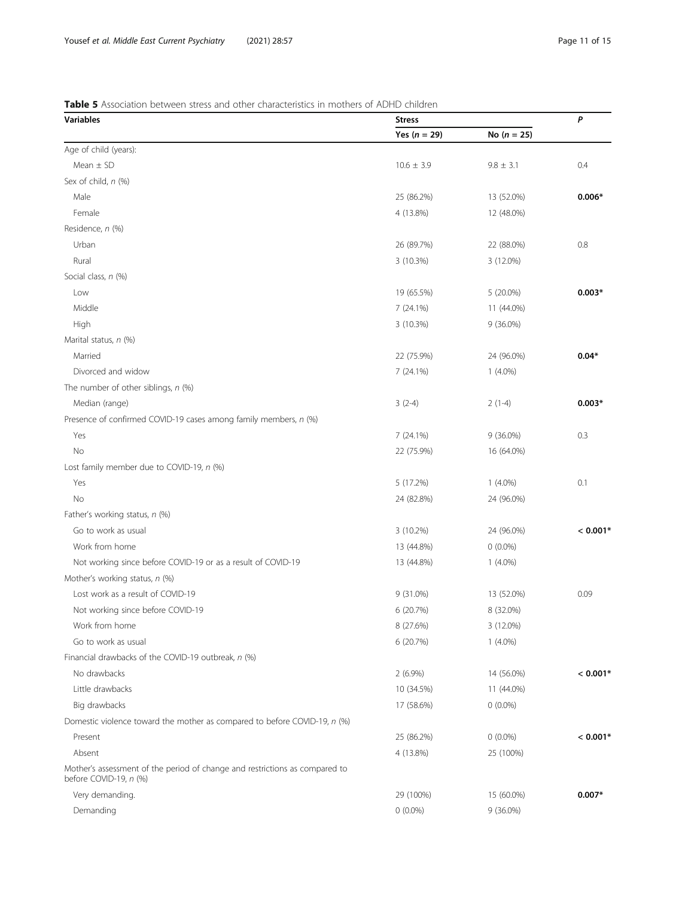# <span id="page-10-0"></span>Table 5 Association between stress and other characteristics in mothers of ADHD children

| Variables                                                                                             | <b>Stress</b>  |               |            |
|-------------------------------------------------------------------------------------------------------|----------------|---------------|------------|
|                                                                                                       | Yes $(n = 29)$ | No $(n = 25)$ |            |
| Age of child (years):                                                                                 |                |               |            |
| Mean $\pm$ SD                                                                                         | $10.6 \pm 3.9$ | $9.8 \pm 3.1$ | 0.4        |
| Sex of child, n (%)                                                                                   |                |               |            |
| Male                                                                                                  | 25 (86.2%)     | 13 (52.0%)    | $0.006*$   |
| Female                                                                                                | 4 (13.8%)      | 12 (48.0%)    |            |
| Residence, n (%)                                                                                      |                |               |            |
| Urban                                                                                                 | 26 (89.7%)     | 22 (88.0%)    | 0.8        |
| Rural                                                                                                 | 3 (10.3%)      | 3 (12.0%)     |            |
| Social class, n (%)                                                                                   |                |               |            |
| Low                                                                                                   | 19 (65.5%)     | 5 (20.0%)     | $0.003*$   |
| Middle                                                                                                | 7(24.1%)       | 11 (44.0%)    |            |
| High                                                                                                  | 3 (10.3%)      | 9 (36.0%)     |            |
| Marital status, n (%)                                                                                 |                |               |            |
| Married                                                                                               | 22 (75.9%)     | 24 (96.0%)    | $0.04*$    |
| Divorced and widow                                                                                    | 7 (24.1%)      | $1(4.0\%)$    |            |
| The number of other siblings, n (%)                                                                   |                |               |            |
| Median (range)                                                                                        | $3(2-4)$       | $2(1-4)$      | $0.003*$   |
| Presence of confirmed COVID-19 cases among family members, n (%)                                      |                |               |            |
| Yes                                                                                                   | 7(24.1%)       | 9 (36.0%)     | 0.3        |
| No                                                                                                    | 22 (75.9%)     | 16 (64.0%)    |            |
| Lost family member due to COVID-19, n (%)                                                             |                |               |            |
| Yes                                                                                                   | 5 (17.2%)      | $1(4.0\%)$    | 0.1        |
| No                                                                                                    | 24 (82.8%)     | 24 (96.0%)    |            |
| Father's working status, n (%)                                                                        |                |               |            |
| Go to work as usual                                                                                   | 3 (10.2%)      | 24 (96.0%)    | $< 0.001*$ |
| Work from home                                                                                        | 13 (44.8%)     | $0(0.0\%)$    |            |
| Not working since before COVID-19 or as a result of COVID-19                                          | 13 (44.8%)     | $1(4.0\%)$    |            |
| Mother's working status, n (%)                                                                        |                |               |            |
| Lost work as a result of COVID-19                                                                     | 9 (31.0%)      | 13 (52.0%)    | 0.09       |
| Not working since before COVID-19                                                                     | 6 (20.7%)      | 8 (32.0%)     |            |
| Work from home                                                                                        | 8 (27.6%)      | 3 (12.0%)     |            |
| Go to work as usual                                                                                   | 6 (20.7%)      | $1(4.0\%)$    |            |
| Financial drawbacks of the COVID-19 outbreak, n (%)                                                   |                |               |            |
| No drawbacks                                                                                          | $2(6.9\%)$     | 14 (56.0%)    | $< 0.001*$ |
| Little drawbacks                                                                                      | 10 (34.5%)     | 11 (44.0%)    |            |
| Big drawbacks                                                                                         | 17 (58.6%)     | $0(0.0\%)$    |            |
| Domestic violence toward the mother as compared to before COVID-19, n (%)                             |                |               |            |
| Present                                                                                               | 25 (86.2%)     | $0(0.0\%)$    | $< 0.001*$ |
| Absent                                                                                                | 4 (13.8%)      | 25 (100%)     |            |
| Mother's assessment of the period of change and restrictions as compared to<br>before COVID-19, n (%) |                |               |            |
| Very demanding.                                                                                       | 29 (100%)      | 15 (60.0%)    | $0.007*$   |
| Demanding                                                                                             | $0(0.0\%)$     | 9 (36.0%)     |            |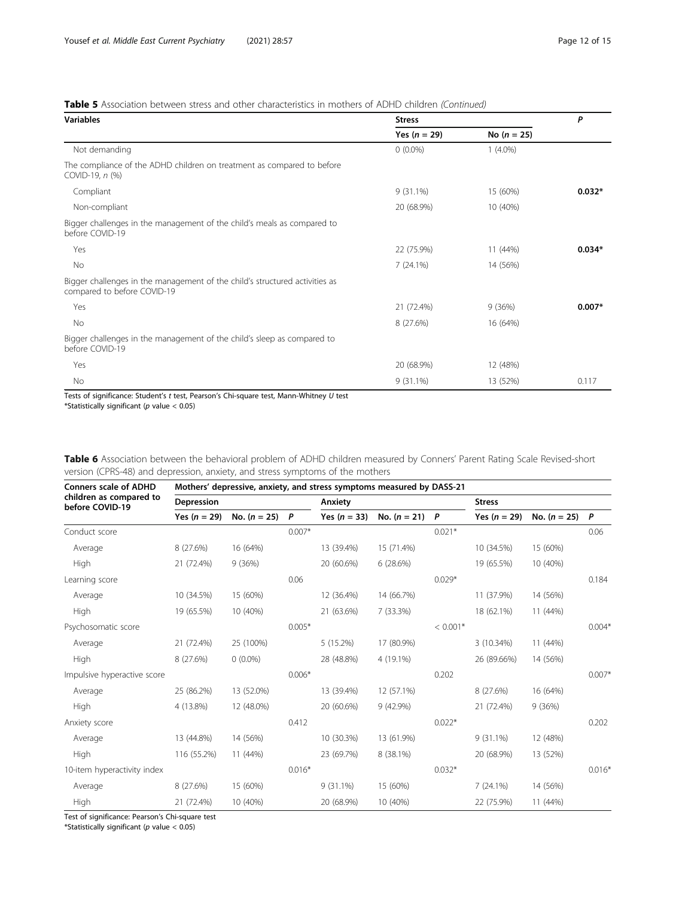# <span id="page-11-0"></span>Table 5 Association between stress and other characteristics in mothers of ADHD children (Continued)

| <b>Variables</b>                                                                                           | <b>Stress</b>  | P             |          |
|------------------------------------------------------------------------------------------------------------|----------------|---------------|----------|
|                                                                                                            | Yes $(n = 29)$ | No $(n = 25)$ |          |
| Not demanding                                                                                              | $0(0.0\%)$     | $1(4.0\%)$    |          |
| The compliance of the ADHD children on treatment as compared to before<br>COVID-19, n (%)                  |                |               |          |
| Compliant                                                                                                  | $9(31.1\%)$    | 15 (60%)      | $0.032*$ |
| Non-compliant                                                                                              | 20 (68.9%)     | 10 (40%)      |          |
| Bigger challenges in the management of the child's meals as compared to<br>before COVID-19                 |                |               |          |
| Yes                                                                                                        | 22 (75.9%)     | 11 (44%)      | $0.034*$ |
| No                                                                                                         | 7(24.1%)       | 14 (56%)      |          |
| Bigger challenges in the management of the child's structured activities as<br>compared to before COVID-19 |                |               |          |
| Yes                                                                                                        | 21 (72.4%)     | 9(36%)        | $0.007*$ |
| No                                                                                                         | 8 (27.6%)      | 16 (64%)      |          |
| Bigger challenges in the management of the child's sleep as compared to<br>before COVID-19                 |                |               |          |
| Yes                                                                                                        | 20 (68.9%)     | 12 (48%)      |          |
| No                                                                                                         | $9(31.1\%)$    | 13 (52%)      | 0.117    |

Tests of significance: Student's t test, Pearson's Chi-square test, Mann-Whitney U test

\*Statistically significant ( $p$  value < 0.05)

Table 6 Association between the behavioral problem of ADHD children measured by Conners' Parent Rating Scale Revised-short version (CPRS-48) and depression, anxiety, and stress symptoms of the mothers

| <b>Conners scale of ADHD</b>               | Mothers' depressive, anxiety, and stress symptoms measured by DASS-21 |                |          |                |                |            |                |                |          |
|--------------------------------------------|-----------------------------------------------------------------------|----------------|----------|----------------|----------------|------------|----------------|----------------|----------|
| children as compared to<br>before COVID-19 | Depression                                                            |                |          | Anxiety        |                |            | <b>Stress</b>  |                |          |
|                                            | Yes $(n = 29)$                                                        | No. $(n = 25)$ | P        | Yes $(n = 33)$ | No. $(n = 21)$ | P          | Yes $(n = 29)$ | No. $(n = 25)$ | P        |
| Conduct score                              |                                                                       |                | $0.007*$ |                |                | $0.021*$   |                |                | 0.06     |
| Average                                    | 8 (27.6%)                                                             | 16 (64%)       |          | 13 (39.4%)     | 15 (71.4%)     |            | 10 (34.5%)     | 15 (60%)       |          |
| High                                       | 21 (72.4%)                                                            | 9(36%)         |          | 20 (60.6%)     | 6(28.6%)       |            | 19 (65.5%)     | 10 (40%)       |          |
| Learning score                             |                                                                       |                | 0.06     |                |                | $0.029*$   |                |                | 0.184    |
| Average                                    | 10 (34.5%)                                                            | 15 (60%)       |          | 12 (36.4%)     | 14 (66.7%)     |            | 11 (37.9%)     | 14 (56%)       |          |
| High                                       | 19 (65.5%)                                                            | 10 (40%)       |          | 21 (63.6%)     | $7(33.3\%)$    |            | 18 (62.1%)     | 11 (44%)       |          |
| Psychosomatic score                        |                                                                       |                | $0.005*$ |                |                | $< 0.001*$ |                |                | $0.004*$ |
| Average                                    | 21 (72.4%)                                                            | 25 (100%)      |          | 5(15.2%)       | 17 (80.9%)     |            | 3 (10.34%)     | 11 (44%)       |          |
| High                                       | 8 (27.6%)                                                             | $0(0.0\%)$     |          | 28 (48.8%)     | 4 (19.1%)      |            | 26 (89.66%)    | 14 (56%)       |          |
| Impulsive hyperactive score                |                                                                       |                | $0.006*$ |                |                | 0.202      |                |                | $0.007*$ |
| Average                                    | 25 (86.2%)                                                            | 13 (52.0%)     |          | 13 (39.4%)     | 12 (57.1%)     |            | 8 (27.6%)      | 16 (64%)       |          |
| High                                       | 4 (13.8%)                                                             | 12 (48.0%)     |          | 20 (60.6%)     | 9 (42.9%)      |            | 21 (72.4%)     | 9(36%)         |          |
| Anxiety score                              |                                                                       |                | 0.412    |                |                | $0.022*$   |                |                | 0.202    |
| Average                                    | 13 (44.8%)                                                            | 14 (56%)       |          | 10 (30.3%)     | 13 (61.9%)     |            | $9(31.1\%)$    | 12 (48%)       |          |
| High                                       | 116 (55.2%)                                                           | 11 (44%)       |          | 23 (69.7%)     | 8 (38.1%)      |            | 20 (68.9%)     | 13 (52%)       |          |
| 10-item hyperactivity index                |                                                                       |                | $0.016*$ |                |                | $0.032*$   |                |                | $0.016*$ |
| Average                                    | 8 (27.6%)                                                             | 15 (60%)       |          | $9(31.1\%)$    | 15 (60%)       |            | 7(24.1%)       | 14 (56%)       |          |
| High                                       | 21 (72.4%)                                                            | 10 (40%)       |          | 20 (68.9%)     | 10 (40%)       |            | 22 (75.9%)     | 11 (44%)       |          |

Test of significance: Pearson's Chi-square test

\*Statistically significant ( $p$  value < 0.05)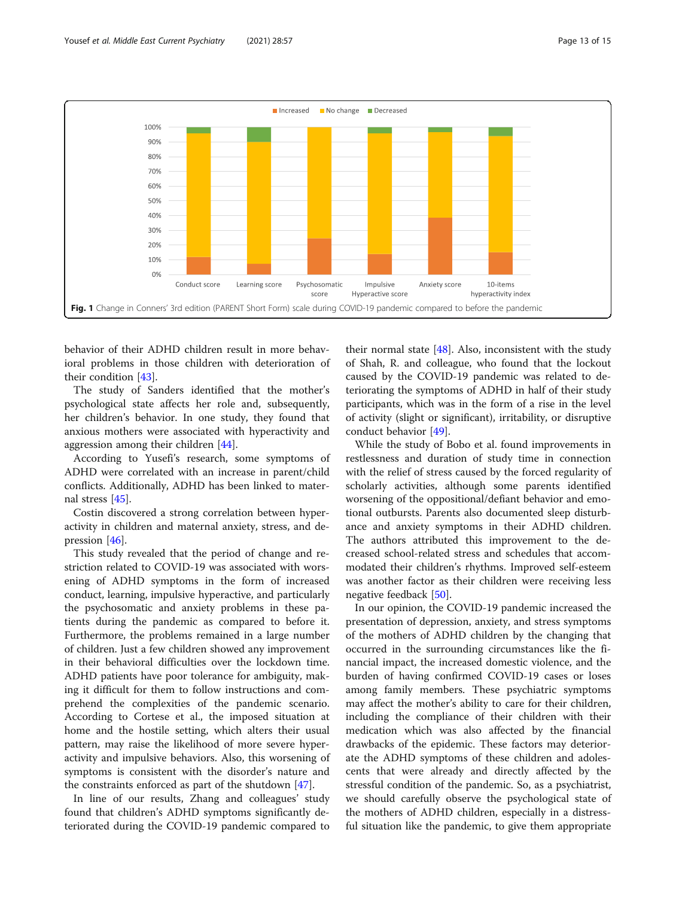<span id="page-12-0"></span>

behavior of their ADHD children result in more behavioral problems in those children with deterioration of their condition [[43\]](#page-14-0).

The study of Sanders identified that the mother's psychological state affects her role and, subsequently, her children's behavior. In one study, they found that anxious mothers were associated with hyperactivity and aggression among their children [[44](#page-14-0)].

According to Yusefi's research, some symptoms of ADHD were correlated with an increase in parent/child conflicts. Additionally, ADHD has been linked to maternal stress [[45\]](#page-14-0).

Costin discovered a strong correlation between hyperactivity in children and maternal anxiety, stress, and depression [[46\]](#page-14-0).

This study revealed that the period of change and restriction related to COVID-19 was associated with worsening of ADHD symptoms in the form of increased conduct, learning, impulsive hyperactive, and particularly the psychosomatic and anxiety problems in these patients during the pandemic as compared to before it. Furthermore, the problems remained in a large number of children. Just a few children showed any improvement in their behavioral difficulties over the lockdown time. ADHD patients have poor tolerance for ambiguity, making it difficult for them to follow instructions and comprehend the complexities of the pandemic scenario. According to Cortese et al., the imposed situation at home and the hostile setting, which alters their usual pattern, may raise the likelihood of more severe hyperactivity and impulsive behaviors. Also, this worsening of symptoms is consistent with the disorder's nature and the constraints enforced as part of the shutdown [\[47](#page-14-0)].

In line of our results, Zhang and colleagues' study found that children's ADHD symptoms significantly deteriorated during the COVID-19 pandemic compared to

their normal state  $[48]$  $[48]$ . Also, inconsistent with the study of Shah, R. and colleague, who found that the lockout caused by the COVID-19 pandemic was related to deteriorating the symptoms of ADHD in half of their study participants, which was in the form of a rise in the level of activity (slight or significant), irritability, or disruptive conduct behavior [[49\]](#page-14-0).

While the study of Bobo et al. found improvements in restlessness and duration of study time in connection with the relief of stress caused by the forced regularity of scholarly activities, although some parents identified worsening of the oppositional/defiant behavior and emotional outbursts. Parents also documented sleep disturbance and anxiety symptoms in their ADHD children. The authors attributed this improvement to the decreased school-related stress and schedules that accommodated their children's rhythms. Improved self-esteem was another factor as their children were receiving less negative feedback [[50\]](#page-14-0).

In our opinion, the COVID-19 pandemic increased the presentation of depression, anxiety, and stress symptoms of the mothers of ADHD children by the changing that occurred in the surrounding circumstances like the financial impact, the increased domestic violence, and the burden of having confirmed COVID-19 cases or loses among family members. These psychiatric symptoms may affect the mother's ability to care for their children, including the compliance of their children with their medication which was also affected by the financial drawbacks of the epidemic. These factors may deteriorate the ADHD symptoms of these children and adolescents that were already and directly affected by the stressful condition of the pandemic. So, as a psychiatrist, we should carefully observe the psychological state of the mothers of ADHD children, especially in a distressful situation like the pandemic, to give them appropriate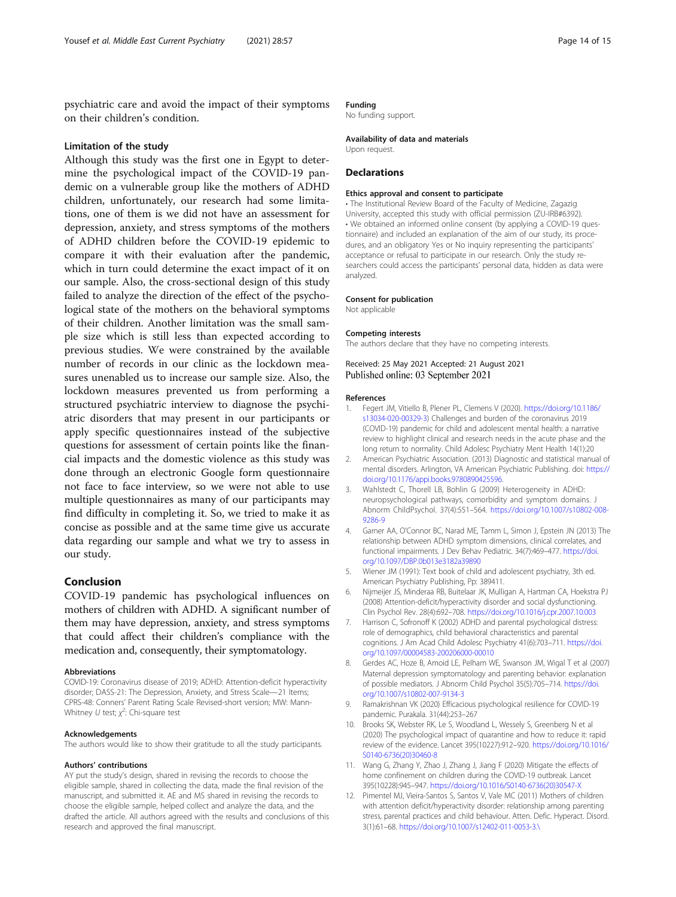<span id="page-13-0"></span>psychiatric care and avoid the impact of their symptoms on their children's condition.

#### Limitation of the study

Although this study was the first one in Egypt to determine the psychological impact of the COVID-19 pandemic on a vulnerable group like the mothers of ADHD children, unfortunately, our research had some limitations, one of them is we did not have an assessment for depression, anxiety, and stress symptoms of the mothers of ADHD children before the COVID-19 epidemic to compare it with their evaluation after the pandemic, which in turn could determine the exact impact of it on our sample. Also, the cross-sectional design of this study failed to analyze the direction of the effect of the psychological state of the mothers on the behavioral symptoms of their children. Another limitation was the small sample size which is still less than expected according to previous studies. We were constrained by the available number of records in our clinic as the lockdown measures unenabled us to increase our sample size. Also, the lockdown measures prevented us from performing a structured psychiatric interview to diagnose the psychiatric disorders that may present in our participants or apply specific questionnaires instead of the subjective questions for assessment of certain points like the financial impacts and the domestic violence as this study was done through an electronic Google form questionnaire not face to face interview, so we were not able to use multiple questionnaires as many of our participants may find difficulty in completing it. So, we tried to make it as concise as possible and at the same time give us accurate data regarding our sample and what we try to assess in our study.

# Conclusion

COVID-19 pandemic has psychological influences on mothers of children with ADHD. A significant number of them may have depression, anxiety, and stress symptoms that could affect their children's compliance with the medication and, consequently, their symptomatology.

#### Abbreviations

COVID-19: Coronavirus disease of 2019; ADHD: Attention-deficit hyperactivity disorder; DASS-21: The Depression, Anxiety, and Stress Scale—21 Items; CPRS-48: Conners' Parent Rating Scale Revised-short version; MW: Mann-Whitney U test;  $\chi^2$ : Chi-square test

#### Acknowledgements

The authors would like to show their gratitude to all the study participants.

#### Authors' contributions

AY put the study's design, shared in revising the records to choose the eligible sample, shared in collecting the data, made the final revision of the manuscript, and submitted it. AE and MS shared in revising the records to choose the eligible sample, helped collect and analyze the data, and the drafted the article. All authors agreed with the results and conclusions of this research and approved the final manuscript.

#### Funding

No funding support.

#### Availability of data and materials

Upon request.

#### **Declarations**

#### Ethics approval and consent to participate

• The Institutional Review Board of the Faculty of Medicine, Zagazig University, accepted this study with official permission (ZU-IRB#6392). • We obtained an informed online consent (by applying a COVID-19 questionnaire) and included an explanation of the aim of our study, its procedures, and an obligatory Yes or No inquiry representing the participants' acceptance or refusal to participate in our research. Only the study researchers could access the participants' personal data, hidden as data were analyzed.

#### Consent for publication

Not applicable

#### Competing interests

The authors declare that they have no competing interests.

Received: 25 May 2021 Accepted: 21 August 2021 Published online: 03 September 2021

#### References

- 1. Fegert JM, Vitiello B, Plener PL, Clemens V (2020). [https://doi.org/10.1186/](https://doi.org/10.1186/s13034-020-00329-3) [s13034-020-00329-3](https://doi.org/10.1186/s13034-020-00329-3)) Challenges and burden of the coronavirus 2019 (COVID-19) pandemic for child and adolescent mental health: a narrative review to highlight clinical and research needs in the acute phase and the long return to normality. Child Adolesc Psychiatry Ment Health 14(1):20
- 2. American Psychiatric Association. (2013) Diagnostic and statistical manual of mental disorders. Arlington, VA American Psychiatric Publishing. doi: [https://](https://doi.org/10.1176/appi.books.9780890425596) [doi.org/10.1176/appi.books.9780890425596](https://doi.org/10.1176/appi.books.9780890425596).
- 3. Wahlstedt C, Thorell LB, Bohlin G (2009) Heterogeneity in ADHD: neuropsychological pathways, comorbidity and symptom domains. J Abnorm ChildPsychol. 37(4):551–564. [https://doi.org/10.1007/s10802-008-](https://doi.org/10.1007/s10802-008-9286-9) [9286-9](https://doi.org/10.1007/s10802-008-9286-9)
- 4. Garner AA, O'Connor BC, Narad ME, Tamm L, Simon J, Epstein JN (2013) The relationship between ADHD symptom dimensions, clinical correlates, and functional impairments. J Dev Behav Pediatric. 34(7):469–477. [https://doi.](https://doi.org/10.1097/DBP.0b013e3182a39890) [org/10.1097/DBP.0b013e3182a39890](https://doi.org/10.1097/DBP.0b013e3182a39890)
- 5. Wiener JM (1991): Text book of child and adolescent psychiatry, 3th ed. American Psychiatry Publishing, Pp: 389411.
- 6. Nijmeijer JS, Minderaa RB, Buitelaar JK, Mulligan A, Hartman CA, Hoekstra PJ (2008) Attention-deficit/hyperactivity disorder and social dysfunctioning. Clin Psychol Rev. 28(4):692–708. <https://doi.org/10.1016/j.cpr.2007.10.003>
- 7. Harrison C, Sofronoff K (2002) ADHD and parental psychological distress: role of demographics, child behavioral characteristics and parental cognitions. J Am Acad Child Adolesc Psychiatry 41(6):703–711. [https://doi.](https://doi.org/10.1097/00004583-200206000-00010) [org/10.1097/00004583-200206000-00010](https://doi.org/10.1097/00004583-200206000-00010)
- 8. Gerdes AC, Hoze B, Amoid LE, Pelham WE, Swanson JM, Wigal T et al (2007) Maternal depression symptomatology and parenting behavior: explanation of possible mediators. J Abnorm Child Psychol 35(5):705–714. [https://doi.](https://doi.org/10.1007/s10802-007-9134-3) [org/10.1007/s10802-007-9134-3](https://doi.org/10.1007/s10802-007-9134-3)
- 9. Ramakrishnan VK (2020) Efficacious psychological resilience for COVID-19 pandemic. Purakala. 31(44):253–267
- 10. Brooks SK, Webster RK, Le S, Woodland L, Wessely S, Greenberg N et al (2020) The psychological impact of quarantine and how to reduce it: rapid review of the evidence. Lancet 395(10227):912–920. [https://doi.org/10.1016/](https://doi.org/10.1016/S0140-6736(20)30460-8) [S0140-6736\(20\)30460-8](https://doi.org/10.1016/S0140-6736(20)30460-8)
- 11. Wang G, Zhang Y, Zhao J, Zhang J, Jiang F (2020) Mitigate the effects of home confinement on children during the COVID-19 outbreak. Lancet 395(10228):945–947. [https://doi.org/10.1016/S0140-6736\(20\)30547-X](https://doi.org/10.1016/S0140-6736(20)30547-X)
- 12. Pimentel MJ, Vieira-Santos S, Santos V, Vale MC (2011) Mothers of children with attention deficit/hyperactivity disorder: relationship among parenting stress, parental practices and child behaviour. Atten. Defic. Hyperact. Disord. 3(1):61–68. https://doi.org/10.1007/s12402-011-0053-3.\